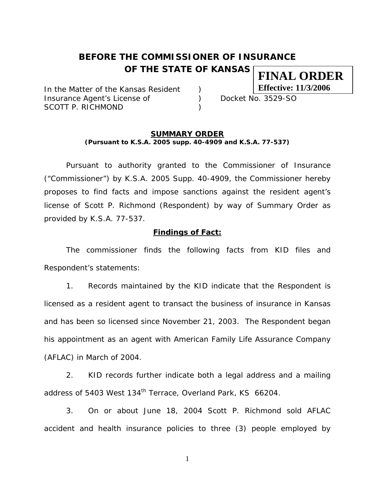# **BEFORE THE COMMISSIONER OF INSURANCE OF THE STATE OF KANSAS FINAL ORDER**

In the Matter of the Kansas Resident ) Insurance Agent's License of (a) Docket No. 3529-SO SCOTT P. RICHMOND (1999)

**Effective: 11/3/2006**

#### **SUMMARY ORDER (Pursuant to K.S.A. 2005 supp. 40-4909 and K.S.A. 77-537)**

 Pursuant to authority granted to the Commissioner of Insurance ("Commissioner") by K.S.A. 2005 Supp. 40-4909, the Commissioner hereby proposes to find facts and impose sanctions against the resident agent's license of Scott P. Richmond (Respondent) by way of Summary Order as provided by K.S.A. 77-537.

## **Findings of Fact:**

 The commissioner finds the following facts from KID files and Respondent's statements:

 1. Records maintained by the KID indicate that the Respondent is licensed as a resident agent to transact the business of insurance in Kansas and has been so licensed since November 21, 2003. The Respondent began his appointment as an agent with American Family Life Assurance Company (AFLAC) in March of 2004.

 2. KID records further indicate both a legal address and a mailing address of 5403 West 134<sup>th</sup> Terrace, Overland Park, KS 66204.

3. On or about June 18, 2004 Scott P. Richmond sold AFLAC accident and health insurance policies to three (3) people employed by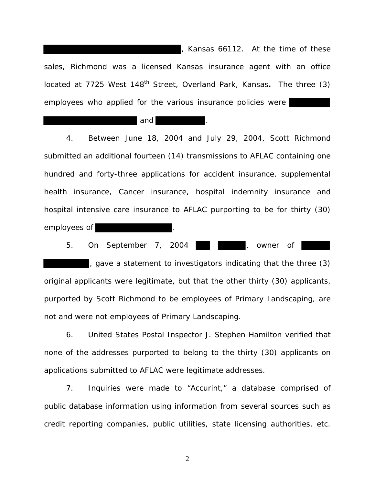, Kansas 66112. At the time of these sales, Richmond was a licensed Kansas insurance agent with an office located at 7725 West 148<sup>th</sup> Street, Overland Park, Kansas. The three (3) employees who applied for the various insurance policies were

#### and

 4. Between June 18, 2004 and July 29, 2004, Scott Richmond submitted an additional fourteen (14) transmissions to AFLAC containing one hundred and forty-three applications for accident insurance, supplemental health insurance, Cancer insurance, hospital indemnity insurance and hospital intensive care insurance to AFLAC purporting to be for thirty (30) employees of

5. On September 7, 2004 **1999**, owner of

, gave a statement to investigators indicating that the three (3) original applicants were legitimate, but that the other thirty (30) applicants, purported by Scott Richmond to be employees of Primary Landscaping, are not and were not employees of Primary Landscaping.

 6. United States Postal Inspector J. Stephen Hamilton verified that none of the addresses purported to belong to the thirty (30) applicants on applications submitted to AFLAC were legitimate addresses.

7. Inquiries were made to "Accurint," a database comprised of public database information using information from several sources such as credit reporting companies, public utilities, state licensing authorities, etc.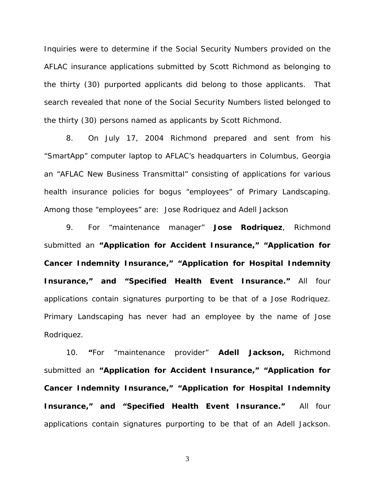Inquiries were to determine if the Social Security Numbers provided on the AFLAC insurance applications submitted by Scott Richmond as belonging to the thirty (30) purported applicants did belong to those applicants. That search revealed that none of the Social Security Numbers listed belonged to the thirty (30) persons named as applicants by Scott Richmond.

 8. On July 17, 2004 Richmond prepared and sent from his "SmartApp" computer laptop to AFLAC's headquarters in Columbus, Georgia an "AFLAC New Business Transmittal" consisting of applications for various health insurance policies for bogus "employees" of Primary Landscaping. Among those "employees" are: Jose Rodriquez and Adell Jackson

 9. For "maintenance manager" **Jose Rodriquez**, Richmond submitted an **"Application for Accident Insurance," "Application for Cancer Indemnity Insurance," "Application for Hospital Indemnity Insurance," and "Specified Health Event Insurance."** All four applications contain signatures purporting to be that of a Jose Rodriquez. Primary Landscaping has never had an employee by the name of Jose Rodriquez.

 10. **"**For "maintenance provider" **Adell Jackson,** Richmond submitted an **"Application for Accident Insurance," "Application for Cancer Indemnity Insurance," "Application for Hospital Indemnity Insurance," and "Specified Health Event Insurance."** All four applications contain signatures purporting to be that of an Adell Jackson.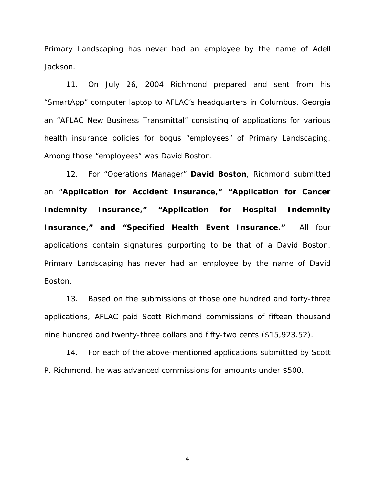Primary Landscaping has never had an employee by the name of Adell Jackson.

 11. On July 26, 2004 Richmond prepared and sent from his "SmartApp" computer laptop to AFLAC's headquarters in Columbus, Georgia an "AFLAC New Business Transmittal" consisting of applications for various health insurance policies for bogus "employees" of Primary Landscaping. Among those "employees" was David Boston.

 12. For "Operations Manager" **David Boston**, Richmond submitted an "**Application for Accident Insurance," "Application for Cancer Indemnity Insurance," "Application for Hospital Indemnity Insurance," and "Specified Health Event Insurance."** All four applications contain signatures purporting to be that of a David Boston. Primary Landscaping has never had an employee by the name of David Boston.

 13. Based on the submissions of those one hundred and forty-three applications, AFLAC paid Scott Richmond commissions of fifteen thousand nine hundred and twenty-three dollars and fifty-two cents (\$15,923.52).

 14. For each of the above-mentioned applications submitted by Scott P. Richmond, he was advanced commissions for amounts under \$500.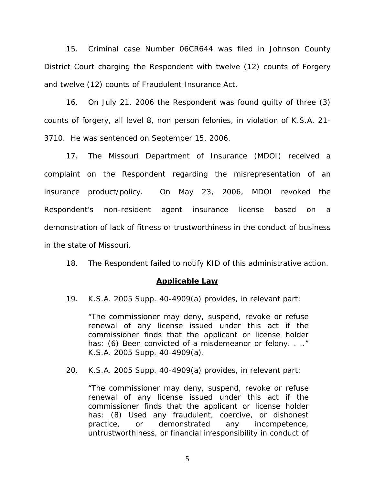15. Criminal case Number 06CR644 was filed in Johnson County District Court charging the Respondent with twelve (12) counts of Forgery and twelve (12) counts of Fraudulent Insurance Act.

 16. On July 21, 2006 the Respondent was found guilty of three (3) counts of forgery, all level 8, non person felonies, in violation of K.S.A. 21- 3710. He was sentenced on September 15, 2006.

 17. The Missouri Department of Insurance (MDOI) received a complaint on the Respondent regarding the misrepresentation of an insurance product/policy. On May 23, 2006, MDOI revoked the Respondent's non-resident agent insurance license based on a demonstration of lack of fitness or trustworthiness in the conduct of business in the state of Missouri.

18. The Respondent failed to notify KID of this administrative action.

## **Applicable Law**

19. K.S.A. 2005 Supp. 40-4909(a) provides, in relevant part:

"The commissioner may deny, suspend, revoke or refuse renewal of any license issued under this act if the commissioner finds that the applicant or license holder has: (6) Been convicted of a misdemeanor or felony. . .." K.S.A. 2005 Supp. 40-4909(a).

20. K.S.A. 2005 Supp. 40-4909(a) provides, in relevant part:

 "The commissioner may deny, suspend, revoke or refuse renewal of any license issued under this act if the commissioner finds that the applicant or license holder has: (8) Used any fraudulent, coercive, or dishonest practice, or demonstrated any incompetence, untrustworthiness, or financial irresponsibility in conduct of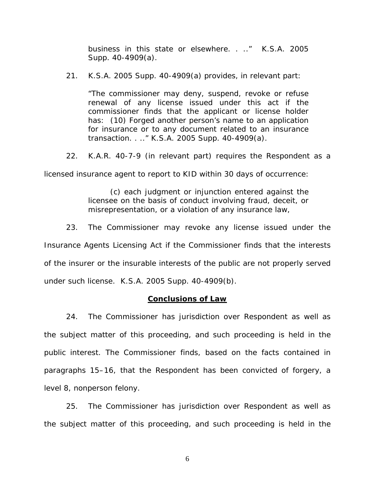business in this state or elsewhere. . .." K.S.A. 2005 Supp. 40-4909(a).

21. K.S.A. 2005 Supp. 40-4909(a) provides, in relevant part:

"The commissioner may deny, suspend, revoke or refuse renewal of any license issued under this act if the commissioner finds that the applicant or license holder has: (10) Forged another person's name to an application for insurance or to any document related to an insurance transaction. . .." K.S.A. 2005 Supp. 40-4909(a).

22. K.A.R. 40-7-9 (in relevant part) requires the Respondent as a

licensed insurance agent to report to KID within 30 days of occurrence:

 (c) each judgment or injunction entered against the licensee on the basis of conduct involving fraud, deceit, or misrepresentation, or a violation of any insurance law,

 23. The Commissioner may revoke any license issued under the Insurance Agents Licensing Act if the Commissioner finds that the interests of the insurer or the insurable interests of the public are not properly served under such license. K.S.A. 2005 Supp. 40-4909(b).

# **Conclusions of Law**

 24. The Commissioner has jurisdiction over Respondent as well as the subject matter of this proceeding, and such proceeding is held in the public interest. The Commissioner finds, based on the facts contained in paragraphs 15–16, that the Respondent has been convicted of forgery, a level 8, nonperson felony.

 25. The Commissioner has jurisdiction over Respondent as well as the subject matter of this proceeding, and such proceeding is held in the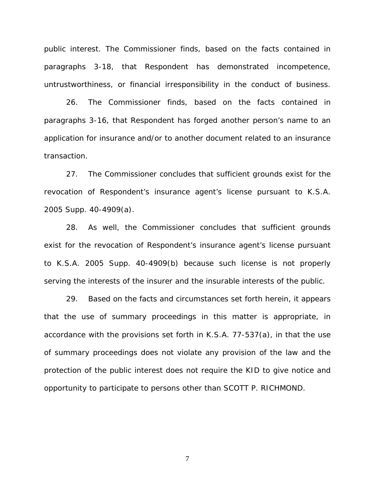public interest. The Commissioner finds, based on the facts contained in paragraphs 3-18, that Respondent has demonstrated incompetence, untrustworthiness, or financial irresponsibility in the conduct of business.

 26. The Commissioner finds, based on the facts contained in paragraphs 3-16, that Respondent has forged another person's name to an application for insurance and/or to another document related to an insurance transaction.

 27. The Commissioner concludes that sufficient grounds exist for the revocation of Respondent's insurance agent's license pursuant to K.S.A. 2005 Supp. 40-4909(a).

 28. As well, the Commissioner concludes that sufficient grounds exist for the revocation of Respondent's insurance agent's license pursuant to K.S.A. 2005 Supp. 40-4909(b) because such license is not properly serving the interests of the insurer and the insurable interests of the public.

 29. Based on the facts and circumstances set forth herein, it appears that the use of summary proceedings in this matter is appropriate, in accordance with the provisions set forth in K.S.A. 77-537(a), in that the use of summary proceedings does not violate any provision of the law and the protection of the public interest does not require the KID to give notice and opportunity to participate to persons other than SCOTT P. RICHMOND.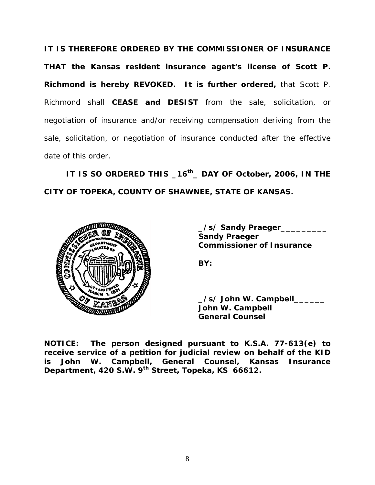**IT IS THEREFORE ORDERED BY THE COMMISSIONER OF INSURANCE THAT the Kansas resident insurance agent's license of Scott P. Richmond is hereby REVOKED. It is further ordered,** that Scott P. Richmond shall **CEASE and DESIST** from the sale, solicitation, or negotiation of insurance and/or receiving compensation deriving from the sale, solicitation, or negotiation of insurance conducted after the effective date of this order.

 **IT IS SO ORDERED THIS \_16th\_ DAY OF October, 2006, IN THE CITY OF TOPEKA, COUNTY OF SHAWNEE, STATE OF KANSAS.** 



 **\_/s/ Sandy Praeger\_\_\_\_\_\_\_\_\_ Sandy Praeger Commissioner of Insurance** 

 **\_/s/ John W. Campbell\_\_\_\_\_\_ John W. Campbell General Counsel** 

**NOTICE: The person designed pursuant to K.S.A. 77-613(e) to receive service of a petition for judicial review on behalf of the KID is John W. Campbell, General Counsel, Kansas Insurance Department, 420 S.W. 9th Street, Topeka, KS 66612.**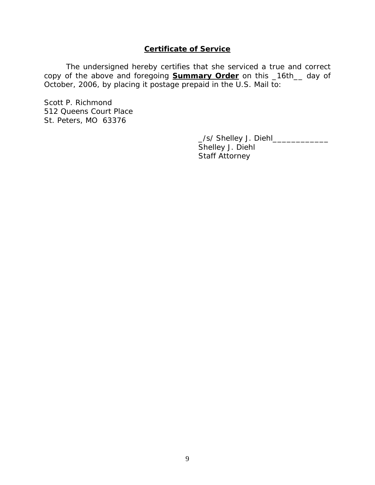# **Certificate of Service**

 The undersigned hereby certifies that she serviced a true and correct copy of the above and foregoing **Summary Order** on this \_16th\_\_ day of October, 2006, by placing it postage prepaid in the U.S. Mail to:

Scott P. Richmond 512 Queens Court Place St. Peters, MO 63376

> \_/s/ Shelley J. Diehl\_\_\_\_\_\_\_\_\_\_\_\_ Shelley J. Diehl Staff Attorney